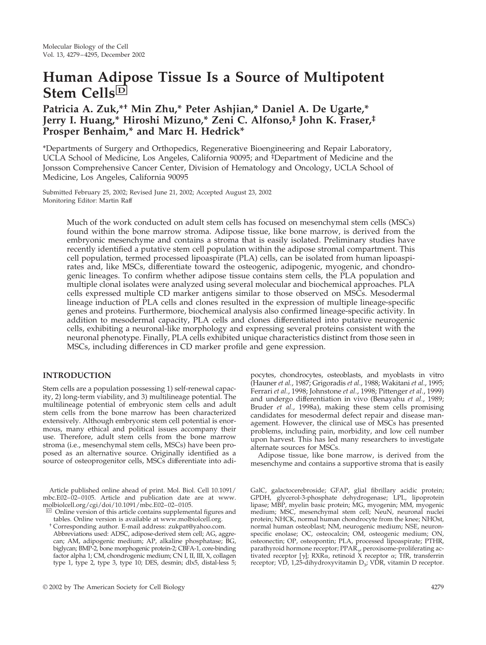# **Human Adipose Tissue Is a Source of Multipotent Stem Cells**<sup>D</sup>

# **Patricia A. Zuk,\*† Min Zhu,\* Peter Ashjian,\* Daniel A. De Ugarte,\* Jerry I. Huang,\* Hiroshi Mizuno,\* Zeni C. Alfonso,‡ John K. Fraser,‡ Prosper Benhaim,\* and Marc H. Hedrick\***

\*Departments of Surgery and Orthopedics, Regenerative Bioengineering and Repair Laboratory, UCLA School of Medicine, Los Angeles, California 90095; and ‡ Department of Medicine and the Jonsson Comprehensive Cancer Center, Division of Hematology and Oncology, UCLA School of Medicine, Los Angeles, California 90095

Submitted February 25, 2002; Revised June 21, 2002; Accepted August 23, 2002 Monitoring Editor: Martin Raff

> Much of the work conducted on adult stem cells has focused on mesenchymal stem cells (MSCs) found within the bone marrow stroma. Adipose tissue, like bone marrow, is derived from the embryonic mesenchyme and contains a stroma that is easily isolated. Preliminary studies have recently identified a putative stem cell population within the adipose stromal compartment. This cell population, termed processed lipoaspirate (PLA) cells, can be isolated from human lipoaspirates and, like MSCs, differentiate toward the osteogenic, adipogenic, myogenic, and chondrogenic lineages. To confirm whether adipose tissue contains stem cells, the PLA population and multiple clonal isolates were analyzed using several molecular and biochemical approaches. PLA cells expressed multiple CD marker antigens similar to those observed on MSCs. Mesodermal lineage induction of PLA cells and clones resulted in the expression of multiple lineage-specific genes and proteins. Furthermore, biochemical analysis also confirmed lineage-specific activity. In addition to mesodermal capacity, PLA cells and clones differentiated into putative neurogenic cells, exhibiting a neuronal-like morphology and expressing several proteins consistent with the neuronal phenotype. Finally, PLA cells exhibited unique characteristics distinct from those seen in MSCs, including differences in CD marker profile and gene expression.

# **INTRODUCTION**

Stem cells are a population possessing 1) self-renewal capacity, 2) long-term viability, and 3) multilineage potential. The multilineage potential of embryonic stem cells and adult stem cells from the bone marrow has been characterized extensively. Although embryonic stem cell potential is enormous, many ethical and political issues accompany their use. Therefore, adult stem cells from the bone marrow stroma (i.e., mesenchymal stem cells, MSCs) have been proposed as an alternative source. Originally identified as a source of osteoprogenitor cells, MSCs differentiate into adi-

Article published online ahead of print. Mol. Biol. Cell 10.1091/ mbc.E02–02–0105. Article and publication date are at www. molbiolcell.org/cgi/doi/10.1091/mbc.E02–02–0105.

 $\Box$  Online version of this article contains supplemental figures and tables. Online version is available at www.molbiolcell.org.

† Corresponding author. E-mail address: zukpat@yahoo.com. Abbreviations used: ADSC, adipose-derived stem cell; AG, aggrecan; AM, adipogenic medium; AP, alkaline phosphatase; BG, biglycan; BMP-2, bone morphogenic protein-2; CBFA-1, core-binding factor alpha 1; CM, chondrogenic medium; CN I, II, III, X, collagen type 1, type 2, type 3, type 10; DES, desmin; dlx5, distal-less 5;

pocytes, chondrocytes, osteoblasts, and myoblasts in vitro (Hauner *et al.*, 1987; Grigoradis *et al.*, 1988; Wakitani *et al.*, 1995; Ferrari *et al.*, 1998; Johnstone *et al.*, 1998; Pittenger *et al.*, 1999) and undergo differentiation in vivo (Benayahu *et al.*, 1989; Bruder *et al.*, 1998a), making these stem cells promising candidates for mesodermal defect repair and disease management. However, the clinical use of MSCs has presented problems, including pain, morbidity, and low cell number upon harvest. This has led many researchers to investigate alternate sources for MSCs.

Adipose tissue, like bone marrow, is derived from the mesenchyme and contains a supportive stroma that is easily

GalC, galactocerebroside; GFAP, glial fibrillary acidic protein; GPDH, glycerol-3-phosphate dehydrogenase; LPL, lipoprotein lipase; MBP, myelin basic protein; MG, myogenin; MM, myogenic medium; MSC, mesenchymal stem cell; NeuN, neuronal nuclei protein; NHCK, normal human chondrocyte from the knee; NHOst, normal human osteoblast; NM, neurogenic medium; NSE, neuronspecific enolase; OC, osteocalcin; OM, osteogenic medium; ON, osteonectin; OP, osteopontin; PLA, processed lipoaspirate; PTHR, parathyroid hormone receptor; PPAR<sub>y</sub>, peroxisome-proliferating activated receptor [ $\gamma$ ]; RXR $\alpha$ , retinoid X receptor  $\alpha$ ; TfR, transferrin receptor; VD, 1,25-dihydroxyvitamin  $D_{3}$ ; VDR, vitamin D receptor.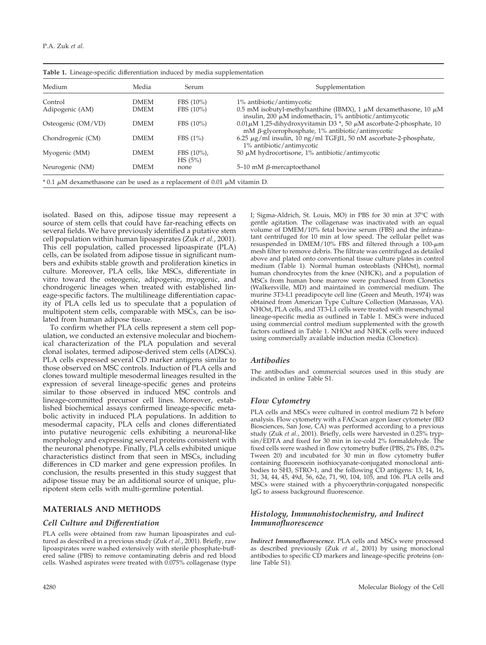| Medium             | Media       | Serum                     | Supplementation                                                                                                                              |
|--------------------|-------------|---------------------------|----------------------------------------------------------------------------------------------------------------------------------------------|
| Control            | <b>DMEM</b> | FBS $(10\%)$              | 1% antibiotic/antimycotic                                                                                                                    |
| Adipogenic (AM)    | <b>DMEM</b> | FBS $(10\%)$              | 0.5 mM isobutyl-methylxanthine (IBMX), 1 $\mu$ M dexamethasone, 10 $\mu$ M<br>insulin, 200 $\mu$ M indomethacin, 1% antibiotic/antimycotic   |
| Osteogenic (OM/VD) | <b>DMEM</b> | FBS (10%)                 | $0.01 \mu$ M 1,25-dihydroxyvitamin D3 $^*$ , 50 $\mu$ M ascorbate-2-phosphate, 10<br>mM $\beta$ -glycerophosphate, 1% antibiotic/antimycotic |
| Chondrogenic (CM)  | <b>DMEM</b> | FBS $(1\%)$               | 6.25 $\mu$ g/ml insulin, 10 ng/ml TGF $\beta$ 1, 50 nM ascorbate-2-phosphate,<br>1% antibiotic/antimycotic                                   |
| Myogenic (MM)      | <b>DMEM</b> | FBS $(10\%)$ ,<br>HS (5%) | 50 $\mu$ M hydrocortisone, 1% antibiotic/antimycotic                                                                                         |
| Neurogenic (NM)    | <b>DMEM</b> | none                      | $5-10$ mM $\beta$ -mercaptoethanol                                                                                                           |

**Table 1.** Lineage-specific differentiation induced by media supplementation

isolated. Based on this, adipose tissue may represent a source of stem cells that could have far-reaching effects on several fields. We have previously identified a putative stem cell population within human lipoaspirates (Zuk *et al.*, 2001). This cell population, called processed lipoaspirate (PLA) cells, can be isolated from adipose tissue in significant numbers and exhibits stable growth and proliferation kinetics in culture. Moreover, PLA cells, like MSCs, differentiate in vitro toward the osteogenic, adipogenic, myogenic, and chondrogenic lineages when treated with established lineage-specific factors. The multilineage differentiation capacity of PLA cells led us to speculate that a population of multipotent stem cells, comparable with MSCs, can be isolated from human adipose tissue.

To confirm whether PLA cells represent a stem cell population, we conducted an extensive molecular and biochemical characterization of the PLA population and several clonal isolates, termed adipose-derived stem cells (ADSCs). PLA cells expressed several CD marker antigens similar to those observed on MSC controls. Induction of PLA cells and clones toward multiple mesodermal lineages resulted in the expression of several lineage-specific genes and proteins similar to those observed in induced MSC controls and lineage-committed precursor cell lines. Moreover, established biochemical assays confirmed lineage-specific metabolic activity in induced PLA populations. In addition to mesodermal capacity, PLA cells and clones differentiated into putative neurogenic cells exhibiting a neuronal-like morphology and expressing several proteins consistent with the neuronal phenotype. Finally, PLA cells exhibited unique characteristics distinct from that seen in MSCs, including differences in CD marker and gene expression profiles. In conclusion, the results presented in this study suggest that adipose tissue may be an additional source of unique, pluripotent stem cells with multi-germline potential.

# **MATERIALS AND METHODS**

#### *Cell Culture and Differentiation*

PLA cells were obtained from raw human lipoaspirates and cultured as described in a previous study (Zuk *et al.*, 2001). Briefly, raw lipoaspirates were washed extensively with sterile phosphate-buffered saline (PBS) to remove contaminating debris and red blood cells. Washed aspirates were treated with 0.075% collagenase (type I; Sigma-Aldrich, St. Louis, MO) in PBS for 30 min at 37°C with gentle agitation. The collagenase was inactivated with an equal volume of DMEM/10% fetal bovine serum (FBS) and the infranatant centrifuged for 10 min at low speed. The cellular pellet was resuspended in DMEM/10% FBS and filtered through a 100- $\mu$ m mesh filter to remove debris. The filtrate was centrifuged as detailed above and plated onto conventional tissue culture plates in control medium (Table 1). Normal human osteoblasts (NHOst), normal human chondrocytes from the knee (NHCK), and a population of MSCs from human bone marrow were purchased from Clonetics (Walkersville, MD) and maintained in commercial medium. The murine 3T3-L1 preadipocyte cell line (Green and Meuth, 1974) was obtained from American Type Culture Collection (Manassas, VA). NHOst, PLA cells, and 3T3-L1 cells were treated with mesenchymal lineage-specific media as outlined in Table 1. MSCs were induced using commercial control medium supplemented with the growth factors outlined in Table 1. NHOst and NHCK cells were induced using commercially available induction media (Clonetics).

#### *Antibodies*

The antibodies and commercial sources used in this study are indicated in online Table S1.

#### *Flow Cytometry*

PLA cells and MSCs were cultured in control medium 72 h before analysis. Flow cytometry with a FACscan argon laser cytometer (BD Biosciences, San Jose, CA) was performed according to a previous study (Zuk *et al.*, 2001). Briefly, cells were harvested in 0.25% trypsin/EDTA and fixed for 30 min in ice-cold 2% formaldehyde. The fixed cells were washed in flow cytometry buffer (PBS, 2% FBS, 0.2% Tween 20) and incubated for 30 min in flow cytometry buffer containing fluorescein isothiocyanate-conjugated monoclonal antibodies to SH3, STRO-1, and the following CD antigens: 13, 14, 16, 31, 34, 44, 45, 49d, 56, 62e, 71, 90, 104, 105, and 106. PLA cells and MSCs were stained with a phycoerythrin-conjugated nonspecific IgG to assess background fluorescence.

# *Histology, Immunohistochemistry, and Indirect Immunofluorescence*

*Indirect Immunofluorescence.* PLA cells and MSCs were processed as described previously (Zuk *et al.*, 2001) by using monoclonal antibodies to specific CD markers and lineage-specific proteins (online Table S1).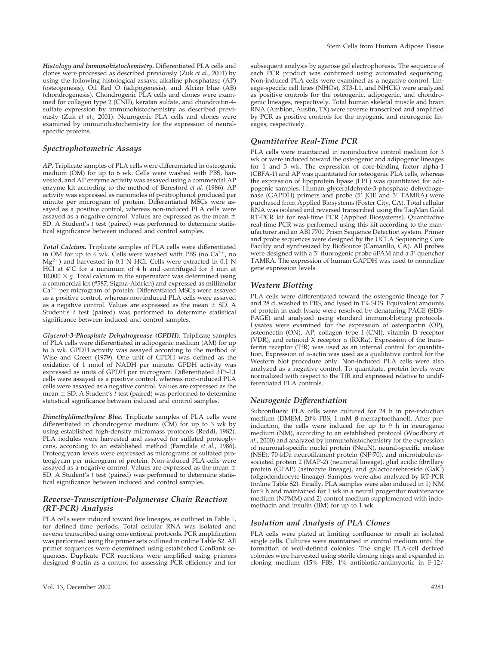*Histology and Immunohistochemistry.* Differentiated PLA cells and clones were processed as described previously (Zuk *et al.*, 2001) by using the following histological assays: alkaline phosphatase (AP) (osteogenesis), Oil Red O (adipogenesis), and Alcian blue (AB) (chondrogenesis). Chondrogenic PLA cells and clones were examined for collagen type 2 (CNII), keratan sulfate, and chondroitin-4 sulfate expression by immunohistochemistry as described previously (Zuk *et al.*, 2001). Neurogenic PLA cells and clones were examined by immunohistochemistry for the expression of neuralspecific proteins.

#### *Spectrophotometric Assays*

*AP.* Triplicate samples of PLA cells were differentiated in osteogenic medium (OM) for up to 6 wk. Cells were washed with PBS, harvested, and AP enzyme activity was assayed using a commercial AP enzyme kit according to the method of Beresford *et al.* (1986). AP activity was expressed as nanomoles of p-nitrophenol produced per minute per microgram of protein. Differentiated MSCs were assayed as a positive control, whereas non-induced PLA cells were assayed as a negative control. Values are expressed as the mean  $\pm$ SD. A Student's *t* test (paired) was performed to determine statistical significance between induced and control samples.

*Total Calcium.* Triplicate samples of PLA cells were differentiated in OM for up to 6 wk. Cells were washed with PBS (no  $Ca^{2+}$ , no Mg2-) and harvested in 0.1 N HCl. Cells were extracted in 0.1 N HCl at 4°C for a minimum of 4 h and centrifuged for 5 min at  $10,000 \times g$ . Total calcium in the supernatant was determined using a commercial kit (#587; Sigma-Aldrich) and expressed as millimolar Ca<sup>2+</sup> per microgram of protein. Differentiated MSCs were assayed as a positive control, whereas non-induced PLA cells were assayed as a negative control. Values are expressed as the mean  $\pm$  SD. A Student's *t* test (paired) was performed to determine statistical significance between induced and control samples.

*Glycerol-3-Phosphate Dehydrogenase (GPDH).* Triplicate samples of PLA cells were differentiated in adipogenic medium (AM) for up to 5 wk. GPDH activity was assayed according to the method of Wise and Green (1979). One unit of GPDH was defined as the oxidation of 1 nmol of NADH per minute. GPDH activity was expressed as units of GPDH per microgram. Differentiated 3T3-L1 cells were assayed as a positive control, whereas non-induced PLA cells were assayed as a negative control. Values are expressed as the mean  $\pm$  SD. A Student's *t* test (paired) was performed to determine statistical significance between induced and control samples.

*Dimethyldimethylene Blue.* Triplicate samples of PLA cells were differentiated in chondrogenic medium (CM) for up to 3 wk by using established high-density micromass protocols (Reddi, 1982). PLA nodules were harvested and assayed for sulfated proteoglycans, according to an established method (Farndale *et al.*, 1986). Proteoglycan levels were expressed as micrograms of sulfated proteoglycan per microgram of protein. Non-induced PLA cells were assayed as a negative control. Values are expressed as the mean  $\pm$ SD. A Student's *t* test (paired) was performed to determine statistical significance between induced and control samples.

# *Reverse-Transcription-Polymerase Chain Reaction (RT-PCR) Analysis*

PLA cells were induced toward five lineages, as outlined in Table 1, for defined time periods. Total cellular RNA was isolated and reverse transcribed using conventional protocols. PCR amplification was performed using the primer sets outlined in online Table S2. All primer sequences were determined using established GenBank sequences. Duplicate PCR reactions were amplified using primers designed  $\beta$ -actin as a control for assessing PCR efficiency and for

subsequent analysis by agarose gel electrophoresis. The sequence of each PCR product was confirmed using automated sequencing. Non-induced PLA cells were examined as a negative control. Lineage-specific cell lines (NHOst, 3T3-L1, and NHCK) were analyzed as positive controls for the osteogenic, adipogenic, and chondrogenic lineages, respectively. Total human skeletal muscle and brain RNA (Ambion, Austin, TX) were reverse transcribed and amplified by PCR as positive controls for the myogenic and neurogenic lineages, respectively.

Stem Cells from Human Adipose Tissue

#### *Quantitative Real-Time PCR*

PLA cells were maintained in noninductive control medium for 3 wk or were induced toward the osteogenic and adipogenic lineages for 1 and 3 wk. The expression of core-binding factor alpha-1 (CBFA-1) and AP was quantitated for osteogenic PLA cells, whereas the expression of lipoprotein lipase (LPL) was quantitated for adipogenic samples. Human glyceraldehyde-3-phosphate dehydrogenase (GAPDH) primers and probe  $(5^7$  JOE and  $3^7$  TAMRA) were purchased from Applied Biosystems (Foster City, CA). Total cellular RNA was isolated and reversed transcribed using the TaqMan Gold RT-PCR kit for real-time PCR (Applied Biosystems). Quantitative real-time PCR was performed using this kit according to the manufacturer and an ABI 7700 Prism Sequence Detection system. Primer and probe sequences were designed by the UCLA Sequencing Core Facility and synthesized by BioSource (Camarillo, CA). All probes were designed with a 5' fluorogenic probe 6FAM and a 3' quencher TAMRA. The expression of human GAPDH was used to normalize gene expression levels.

#### *Western Blotting*

PLA cells were differentiated toward the osteogenic lineage for 7 and 28 d, washed in PBS, and lysed in 1% SDS. Equivalent amounts of protein in each lysate were resolved by denaturing PAGE (SDS-PAGE) and analyzed using standard immunoblotting protocols. Lysates were examined for the expression of osteopontin (OP), osteonectin (ON), AP, collagen type I (CNI), vitamin D receptor (VDR), and retinoid X receptor  $\alpha$  (RXR $\alpha$ ). Expression of the transferrin receptor (TfR) was used as an internal control for quantitation. Expression of  $\alpha$ -actin was used as a qualitative control for the Western blot procedure only. Non-induced PLA cells were also analyzed as a negative control. To quantitate, protein levels were normalized with respect to the TfR and expressed relative to undifferentiated PLA controls.

#### *Neurogenic Differentiation*

Subconfluent PLA cells were cultured for 24 h in pre-induction medium (DMEM, 20% FBS, 1 mM  $\beta$ -mercaptoethanol). After preinduction, the cells were induced for up to 9 h in neurogenic medium (NM), according to an established protocol (Woodbury *et al.*, 2000) and analyzed by immunohistochemistry for the expression of neuronal-specific nuclei protein (NeuN), neural-specific enolase (NSE), 70-kDa neurofilament protein (NF-70), and microtubule-associated protein 2 (MAP-2) (neuronal lineage), glial acidic fibrillary protein (GFAP) (astrocyte lineage), and galactocerebroside (GalC) (oligodendrocyte lineage). Samples were also analyzed by RT-PCR (online Table S2). Finally, PLA samples were also induced in 1) NM for 9 h and maintained for 1 wk in a neural progenitor maintenance medium (NPMM) and 2) control medium supplemented with indomethacin and insulin (IIM) for up to 1 wk.

#### *Isolation and Analysis of PLA Clones*

PLA cells were plated at limiting confluence to result in isolated single cells. Cultures were maintained in control medium until the formation of well-defined colonies. The single PLA-cell derived colonies were harvested using sterile cloning rings and expanded in cloning medium (15% FBS, 1% antibiotic/antimycotic in F-12/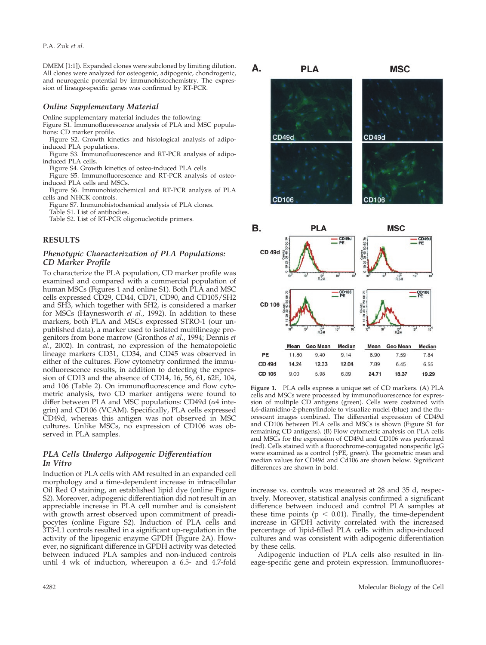DMEM [1:1]). Expanded clones were subcloned by limiting dilution. All clones were analyzed for osteogenic, adipogenic, chondrogenic, and neurogenic potential by immunohistochemistry. The expression of lineage-specific genes was confirmed by RT-PCR.

#### *Online Supplementary Material*

Online supplementary material includes the following:

Figure S1. Immunofluorescence analysis of PLA and MSC populations: CD marker profile.

Figure S2. Growth kinetics and histological analysis of adipoinduced PLA populations.

Figure S3. Immunofluorescence and RT-PCR analysis of adipoinduced PLA cells.

Figure S4. Growth kinetics of osteo-induced PLA cells

Figure S5. Immunofluorescence and RT-PCR analysis of osteoinduced PLA cells and MSCs.

Figure S6. Immunohistochemical and RT-PCR analysis of PLA cells and NHCK controls.

Figure S7. Immunohistochemical analysis of PLA clones. Table S1. List of antibodies.

Table S2. List of RT-PCR oligonucleotide primers.

#### **RESULTS**

#### *Phenotypic Characterization of PLA Populations: CD Marker Profile*

To characterize the PLA population, CD marker profile was examined and compared with a commercial population of human MSCs (Figures 1 and online S1). Both PLA and MSC cells expressed CD29, CD44, CD71, CD90, and CD105/SH2 and SH3, which together with SH2, is considered a marker for MSCs (Haynesworth *et al.*, 1992). In addition to these markers, both PLA and MSCs expressed STRO-1 (our unpublished data), a marker used to isolated multilineage progenitors from bone marrow (Gronthos *et al.*, 1994; Dennis *et al.*, 2002). In contrast, no expression of the hematopoietic lineage markers CD31, CD34, and CD45 was observed in either of the cultures. Flow cytometry confirmed the immunofluorescence results, in addition to detecting the expression of CD13 and the absence of CD14, 16, 56, 61, 62E, 104, and 106 (Table 2). On immunofluorescence and flow cytometric analysis, two CD marker antigens were found to differ between PLA and MSC populations: CD49d ( $\alpha$ 4 integrin) and CD106 (VCAM). Specifically, PLA cells expressed CD49d, whereas this antigen was not observed in MSC cultures. Unlike MSCs, no expression of CD106 was observed in PLA samples.

#### *PLA Cells Undergo Adipogenic Differentiation In Vitro*

Induction of PLA cells with AM resulted in an expanded cell morphology and a time-dependent increase in intracellular Oil Red O staining, an established lipid dye (online Figure S2). Moreover, adipogenic differentiation did not result in an appreciable increase in PLA cell number and is consistent with growth arrest observed upon commitment of preadipocytes (online Figure S2). Induction of PLA cells and 3T3-L1 controls resulted in a significant up-regulation in the activity of the lipogenic enzyme GPDH (Figure 2A). However, no significant difference in GPDH activity was detected between induced PLA samples and non-induced controls until 4 wk of induction, whereupon a 6.5- and 4.7-fold





**Figure 1.** PLA cells express a unique set of CD markers. (A) PLA cells and MSCs were processed by immunofluorescence for expression of multiple CD antigens (green). Cells were costained with 4,6-diamidino-2-phenylindole to visualize nuclei (blue) and the fluorescent images combined. The differential expression of CD49d and CD106 between PLA cells and MSCs is shown (Figure S1 for remaining CD antigens). (B) Flow cytometric analysis on PLA cells and MSCs for the expression of CD49d and CD106 was performed (red). Cells stained with a fluorochrome-conjugated nonspecific IgG were examined as a control ( $\gamma$ PE, green). The geometric mean and median values for CD49d and Cd106 are shown below. Significant differences are shown in bold.

increase vs. controls was measured at 28 and 35 d, respectively. Moreover, statistical analysis confirmed a significant difference between induced and control PLA samples at these time points ( $p < 0.01$ ). Finally, the time-dependent increase in GPDH activity correlated with the increased percentage of lipid-filled PLA cells within adipo-induced cultures and was consistent with adipogenic differentiation by these cells.

Adipogenic induction of PLA cells also resulted in lineage-specific gene and protein expression. Immunofluores-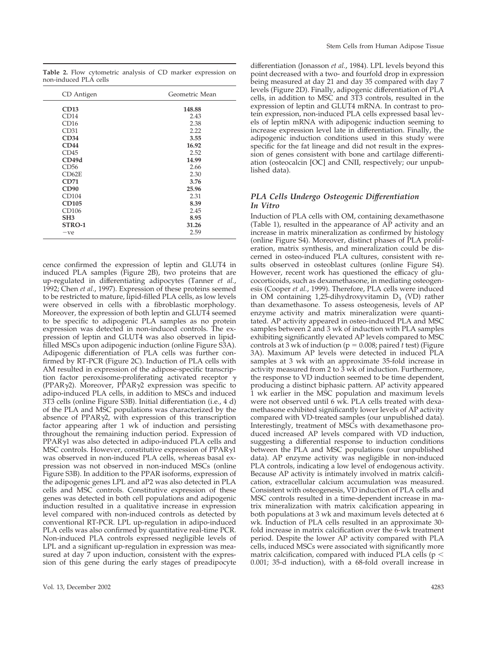| CD Antigen | Geometric Mean |
|------------|----------------|
| CD13       | 148.88         |
| CD14       | 2.43           |
| CD16       | 2.38           |
| CD31       | 2.22           |
| CD34       | 3.55           |
| CD44       | 16.92          |
| CD45       | 2.52           |
| CD49d      | 14.99          |
| CD56       | 2.66           |
| CD62E      | 2.30           |
| CD71       | 3.76           |
| CD90       | 25.96          |
| CD104      | 2.31           |
| CD105      | 8.39           |
| CD106      | 2.45           |
| SH3        | 8.95           |
| STRO-1     | 31.26          |
| $-ve$      | 2.59           |

**Table 2.** Flow cytometric analysis of CD marker expression on non-induced PLA cells

cence confirmed the expression of leptin and GLUT4 in induced PLA samples (Figure 2B), two proteins that are up-regulated in differentiating adipocytes (Tanner *et al.*, 1992; Chen *et al.*, 1997). Expression of these proteins seemed to be restricted to mature, lipid-filled PLA cells, as low levels were observed in cells with a fibroblastic morphology. Moreover, the expression of both leptin and GLUT4 seemed to be specific to adipogenic PLA samples as no protein expression was detected in non-induced controls. The expression of leptin and GLUT4 was also observed in lipidfilled MSCs upon adipogenic induction (online Figure S3A). Adipogenic differentiation of PLA cells was further confirmed by RT-PCR (Figure 2C). Induction of PLA cells with AM resulted in expression of the adipose-specific transcription factor peroxisome-proliferating activated receptor  $\gamma$ (PPAR $\gamma$ 2). Moreover, PPAR $\gamma$ 2 expression was specific to adipo-induced PLA cells, in addition to MSCs and induced 3T3 cells (online Figure S3B). Initial differentiation (i.e., 4 d) of the PLA and MSC populations was characterized by the absence of PPAR $\gamma$ 2, with expression of this transcription factor appearing after 1 wk of induction and persisting throughout the remaining induction period. Expression of  $PPAR<sub>Y</sub>1$  was also detected in adipo-induced PLA cells and MSC controls. However, constitutive expression of  $PPAR_{\gamma1}$ was observed in non-induced PLA cells, whereas basal expression was not observed in non-induced MSCs (online Figure S3B). In addition to the PPAR isoforms, expression of the adipogenic genes LPL and aP2 was also detected in PLA cells and MSC controls. Constitutive expression of these genes was detected in both cell populations and adipogenic induction resulted in a qualitative increase in expression level compared with non-induced controls as detected by conventional RT-PCR. LPL up-regulation in adipo-induced PLA cells was also confirmed by quantitative real-time PCR. Non-induced PLA controls expressed negligible levels of LPL and a significant up-regulation in expression was measured at day 7 upon induction, consistent with the expression of this gene during the early stages of preadipocyte

differentiation (Jonasson *et al.*, 1984). LPL levels beyond this point decreased with a two- and fourfold drop in expression being measured at day 21 and day 35 compared with day 7 levels (Figure 2D). Finally, adipogenic differentiation of PLA cells, in addition to MSC and 3T3 controls, resulted in the expression of leptin and GLUT4 mRNA. In contrast to protein expression, non-induced PLA cells expressed basal levels of leptin mRNA with adipogenic induction seeming to increase expression level late in differentiation. Finally, the adipogenic induction conditions used in this study were specific for the fat lineage and did not result in the expression of genes consistent with bone and cartilage differentiation (osteocalcin [OC] and CNII, respectively; our unpublished data).

# *PLA Cells Undergo Osteogenic Differentiation In Vitro*

Induction of PLA cells with OM, containing dexamethasone (Table 1), resulted in the appearance of  $AP$  activity and an increase in matrix mineralization as confirmed by histology (online Figure S4). Moreover, distinct phases of PLA proliferation, matrix synthesis, and mineralization could be discerned in osteo-induced PLA cultures, consistent with results observed in osteoblast cultures (online Figure S4). However, recent work has questioned the efficacy of glucocorticoids, such as dexamethasone, in mediating osteogenesis (Cooper *et al.*, 1999). Therefore, PLA cells were induced in OM containing 1,25-dihydroxyvitamin  $D_3$  (VD) rather than dexamethasone. To assess osteogenesis, levels of AP enzyme activity and matrix mineralization were quantitated. AP activity appeared in osteo-induced PLA and MSC samples between 2 and 3 wk of induction with PLA samples exhibiting significantly elevated AP levels compared to MSC controls at 3 wk of induction ( $p = 0.008$ ; paired *t* test) (Figure 3A). Maximum AP levels were detected in induced PLA samples at 3 wk with an approximate 35-fold increase in activity measured from 2 to 3 wk of induction. Furthermore, the response to VD induction seemed to be time dependent, producing a distinct biphasic pattern. AP activity appeared 1 wk earlier in the MSC population and maximum levels were not observed until 6 wk. PLA cells treated with dexamethasone exhibited significantly lower levels of AP activity compared with VD-treated samples (our unpublished data). Interestingly, treatment of MSCs with dexamethasone produced increased AP levels compared with VD induction, suggesting a differential response to induction conditions between the PLA and MSC populations (our unpublished data). AP enzyme activity was negligible in non-induced PLA controls, indicating a low level of endogenous activity. Because AP activity is intimately involved in matrix calcification, extracellular calcium accumulation was measured. Consistent with osteogenesis, VD induction of PLA cells and MSC controls resulted in a time-dependent increase in matrix mineralization with matrix calcification appearing in both populations at 3 wk and maximum levels detected at 6 wk. Induction of PLA cells resulted in an approximate 30 fold increase in matrix calcification over the 6-wk treatment period. Despite the lower AP activity compared with PLA cells, induced MSCs were associated with significantly more matrix calcification, compared with induced PLA cells ( $p <$ 0.001; 35-d induction), with a 68-fold overall increase in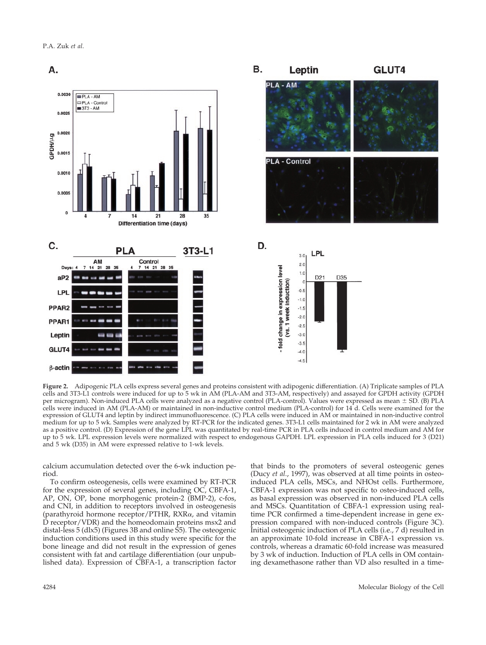

**Figure 2.** Adipogenic PLA cells express several genes and proteins consistent with adipogenic differentiation. (A) Triplicate samples of PLA cells and 3T3-L1 controls were induced for up to 5 wk in AM (PLA-AM and 3T3-AM, respectively) and assayed for GPDH activity (GPDH per microgram). Non-induced PLA cells were analyzed as a negative control (PLA-control). Values were expressed as mean  $\pm$  SD. (B) PLA cells were induced in AM (PLA-AM) or maintained in non-inductive control medium (PLA-control) for 14 d. Cells were examined for the expression of GLUT4 and leptin by indirect immunofluorescence. (C) PLA cells were induced in AM or maintained in non-inductive control medium for up to 5 wk. Samples were analyzed by RT-PCR for the indicated genes. 3T3-L1 cells maintained for 2 wk in AM were analyzed as a positive control. (D) Expression of the gene LPL was quantitated by real-time PCR in PLA cells induced in control medium and AM for up to 5 wk. LPL expression levels were normalized with respect to endogenous GAPDH. LPL expression in PLA cells induced for 3 (D21) and 5 wk (D35) in AM were expressed relative to 1-wk levels.

calcium accumulation detected over the 6-wk induction period.

To confirm osteogenesis, cells were examined by RT-PCR for the expression of several genes, including OC, CBFA-1, AP, ON, OP, bone morphogenic protein-2 (BMP-2), c-fos, and CNI, in addition to receptors involved in osteogenesis (parathyroid hormone receptor/PTHR,  $RXR\alpha$ , and vitamin D receptor/VDR) and the homeodomain proteins msx2 and distal-less 5 (dlx5) (Figures 3B and online S5). The osteogenic induction conditions used in this study were specific for the bone lineage and did not result in the expression of genes consistent with fat and cartilage differentiation (our unpublished data). Expression of CBFA-1, a transcription factor

that binds to the promoters of several osteogenic genes (Ducy *et al.*, 1997), was observed at all time points in osteoinduced PLA cells, MSCs, and NHOst cells. Furthermore, CBFA-1 expression was not specific to osteo-induced cells, as basal expression was observed in non-induced PLA cells and MSCs. Quantitation of CBFA-1 expression using realtime PCR confirmed a time-dependent increase in gene expression compared with non-induced controls (Figure 3C). Initial osteogenic induction of PLA cells (i.e., 7 d) resulted in an approximate 10-fold increase in CBFA-1 expression vs. controls, whereas a dramatic 60-fold increase was measured by 3 wk of induction. Induction of PLA cells in OM containing dexamethasone rather than VD also resulted in a time-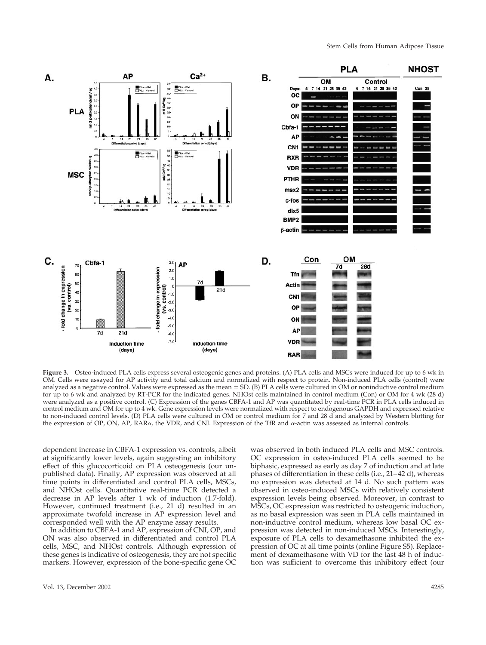

**Figure 3.** Osteo-induced PLA cells express several osteogenic genes and proteins. (A) PLA cells and MSCs were induced for up to 6 wk in OM. Cells were assayed for AP activity and total calcium and normalized with respect to protein. Non-induced PLA cells (control) were analyzed as a negative control. Values were expressed as the mean  $\pm$  SD. (B) PLA cells were cultured in OM or noninductive control medium for up to 6 wk and analyzed by RT-PCR for the indicated genes. NHOst cells maintained in control medium (Con) or OM for 4 wk (28 d) were analyzed as a positive control. (C) Expression of the genes CBFA-1 and AP was quantitated by real-time PCR in PLA cells induced in control medium and OM for up to 4 wk. Gene expression levels were normalized with respect to endogenous GAPDH and expressed relative to non-induced control levels. (D) PLA cells were cultured in OM or control medium for 7 and 28 d and analyzed by Western blotting for the expression of OP, ON, AP, RAR $\alpha$ , the VDR, and CNI. Expression of the TfR and  $\alpha$ -actin was assessed as internal controls.

dependent increase in CBFA-1 expression vs. controls, albeit at significantly lower levels, again suggesting an inhibitory effect of this glucocorticoid on PLA osteogenesis (our unpublished data). Finally, AP expression was observed at all time points in differentiated and control PLA cells, MSCs, and NHOst cells. Quantitative real-time PCR detected a decrease in AP levels after 1 wk of induction (1.7-fold). However, continued treatment (i.e., 21 d) resulted in an approximate twofold increase in AP expression level and corresponded well with the AP enzyme assay results.

In addition to CBFA-1 and AP, expression of CNI, OP, and ON was also observed in differentiated and control PLA cells, MSC, and NHOst controls. Although expression of these genes is indicative of osteogenesis, they are not specific markers. However, expression of the bone-specific gene OC OC expression in osteo-induced PLA cells seemed to be biphasic, expressed as early as day 7 of induction and at late phases of differentiation in these cells (i.e., 21–42 d), whereas no expression was detected at 14 d. No such pattern was observed in osteo-induced MSCs with relatively consistent expression levels being observed. Moreover, in contrast to MSCs, OC expression was restricted to osteogenic induction, as no basal expression was seen in PLA cells maintained in non-inductive control medium, whereas low basal OC expression was detected in non-induced MSCs. Interestingly, exposure of PLA cells to dexamethasone inhibited the expression of OC at all time points (online Figure S5). Replacement of dexamethasone with VD for the last 48 h of induction was sufficient to overcome this inhibitory effect (our

was observed in both induced PLA cells and MSC controls.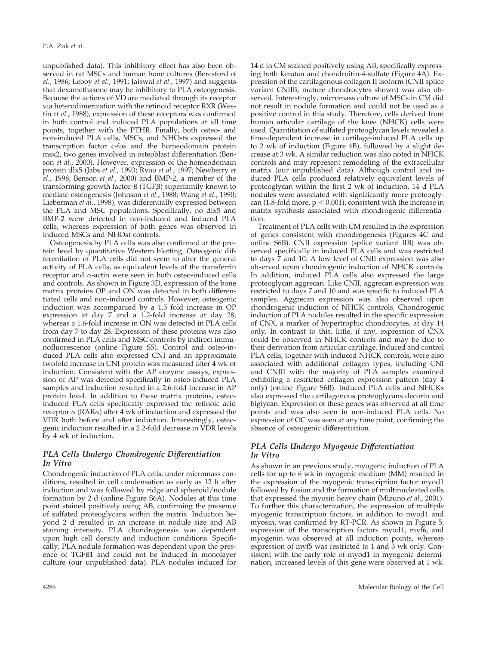unpublished data). This inhibitory effect has also been observed in rat MSCs and human bone cultures (Beresford *et al.*, 1986; Leboy *et al.*, 1991; Jaiswal *et al.*, 1997) and suggests that dexamethasone may be inhibitory to PLA osteogenesis. Because the actions of VD are mediated through its receptor via heterodimerization with the retinoid receptor RXR (Westin *et al.*, 1988), expression of these receptors was confirmed in both control and induced PLA populations at all time points, together with the PTHR. Finally, both osteo- and non-induced PLA cells, MSCs, and NHOsts expressed the transcription factor c-fos and the homeodomain protein msx2, two genes involved in osteoblast differentiation (Benson *et al.*, 2000). However, expression of the homeodomain protein dlx5 (Jabs *et al.*, 1993; Ryoo *et al.*, 1997; Newberry *et al.*, 1998; Benson *et al.*, 2000) and BMP-2, a member of the transforming growth factor- $\beta$  (TGF $\beta$ ) superfamily known to mediate osteogenesis (Johnson *et al.*, 1988; Wang *et al.*, 1990; Lieberman *et al.*, 1998), was differentially expressed between the PLA and MSC populations. Specifically, no dlx5 and BMP-2 were detected in non-induced and induced PLA cells, whereas expression of both genes was observed in induced MSCs and NHOst controls.

Osteogenesis by PLA cells was also confirmed at the protein level by quantitative Western blotting. Osteogenic differentiation of PLA cells did not seem to alter the general activity of PLA cells, as equivalent levels of the transferrin receptor and  $\alpha$ -actin were seen in both osteo-induced cells and controls. As shown in Figure 3D, expression of the bone matrix proteins OP and ON was detected in both differentiated cells and non-induced controls. However, osteogenic induction was accompanied by a 1.5 fold increase in OP expression at day 7 and a 1.2-fold increase at day 28, whereas a 1.6-fold increase in ON was detected in PLA cells from day 7 to day 28. Expression of these proteins was also confirmed in PLA cells and MSC controls by indirect immunofluorescence (online Figure S5). Control and osteo-induced PLA cells also expressed CNI and an approximate twofold increase in CNI protein was measured after 4 wk of induction. Consistent with the AP enzyme assays, expression of AP was detected specifically in osteo-induced PLA samples and induction resulted in a 2.6-fold increase in AP protein level. In addition to these matrix proteins, osteoinduced PLA cells specifically expressed the retinoic acid receptor  $\alpha$  (RAR $\alpha$ ) after 4 wk of induction and expressed the VDR both before and after induction. Interestingly, osteogenic induction resulted in a 2.2-fold decrease in VDR levels by 4 wk of induction.

# *PLA Cells Undergo Chondrogenic Differentiation In Vitro*

Chondrogenic induction of PLA cells, under micromass conditions, resulted in cell condensation as early as 12 h after induction and was followed by ridge and spheroid/nodule formation by 2 d (online Figure S6A). Nodules at this time point stained positively using AB, confirming the presence of sulfated proteoglycans within the matrix. Induction beyond 2 d resulted in an increase in nodule size and AB staining intensity. PLA chondrogenesis was dependent upon high cell density and induction conditions. Specifically, PLA nodule formation was dependent upon the presence of  $TGF\beta1$  and could not be induced in monolayer culture (our unpublished data). PLA nodules induced for

14 d in CM stained positively using AB, specifically expressing both keratan and chondroitin-4-sulfate (Figure 4A). Expression of the cartilagenous collagen II isoform (CNII splice variant CNIIB, mature chondrocytes shown) was also observed. Interestingly, micromass culture of MSCs in CM did not result in nodule formation and could not be used as a positive control in this study. Therefore, cells derived from human articular cartilage of the knee (NHCK) cells were used. Quantitation of sulfated proteoglycan levels revealed a time-dependent increase in cartilage-induced PLA cells up to 2 wk of induction (Figure 4B), followed by a slight decrease at 3 wk. A similar reduction was also noted in NHCK controls and may represent remodeling of the extracellular matrix (our unpublished data). Although control and induced PLA cells produced relatively equivalent levels of proteoglycan within the first 2 wk of induction, 14 d PLA nodules were associated with significantly more proteoglycan (1.8-fold more,  $p < 0.001$ ), consistent with the increase in matrix synthesis associated with chondrogenic differentiation.

Treatment of PLA cells with CM resulted in the expression of genes consistent with chondrogenesis (Figures 4C and online S6B). CNII expression (splice variant IIB) was observed specifically in induced PLA cells and was restricted to days 7 and 10. A low level of CNII expression was also observed upon chondrogenic induction of NHCK controls. In addition, induced PLA cells also expressed the large proteoglycan aggrecan. Like CNII, aggrecan expression was restricted to days 7 and 10 and was specific to induced PLA samples. Aggrecan expression was also observed upon chondrogenic induction of NHCK controls. Chondrogenic induction of PLA nodules resulted in the specific expression of CNX, a marker of hypertrophic chondrocytes, at day 14 only. In contrast to this, little, if any, expression of CNX could be observed in NHCK controls and may be due to their derivation from articular cartilage. Induced and control PLA cells, together with induced NHCK controls, were also associated with additional collagen types, including CNI and CNIII with the majority of PLA samples examined exhibiting a restricted collagen expression pattern (day 4 only) (online Figure S6B). Induced PLA cells and NHCKs also expressed the cartilagenous proteoglycans decorin and biglycan. Expression of these genes was observed at all time points and was also seen in non-induced PLA cells. No expression of OC was seen at any time point, confirming the absence of osteogenic differentiation.

# *PLA Cells Undergo Myogenic Differentiation In Vitro*

As shown in an previous study, myogenic induction of PLA cells for up to 6 wk in myogenic medium (MM) resulted in the expression of the myogenic transcription factor myod1 followed by fusion and the formation of multinucleated cells that expressed the myosin heavy chain (Mizuno *et al.*, 2001). To further this characterization, the expression of multiple myogenic transcription factors, in addition to myod1 and myosin, was confirmed by RT-PCR. As shown in Figure 5, expression of the transcription factors myod1, myf6, and myogenin was observed at all induction points, whereas expression of myf5 was restricted to 1 and  $\bar{3}$  wk only. Consistent with the early role of myod1 in myogenic determination, increased levels of this gene were observed at 1 wk.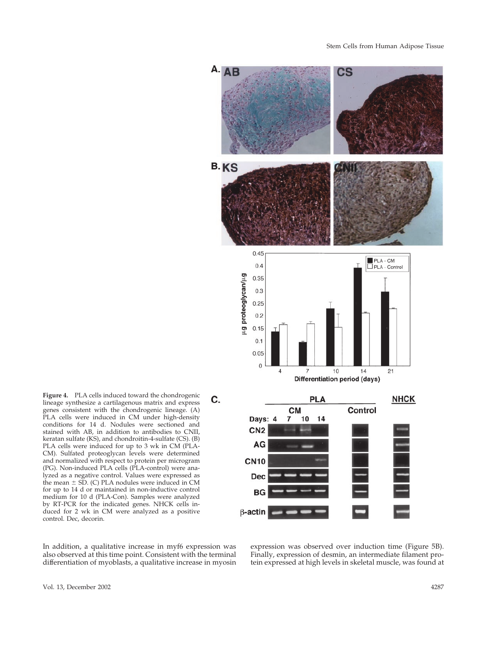

**Figure 4.** PLA cells induced toward the chondrogenic lineage synthesize a cartilagenous matrix and express genes consistent with the chondrogenic lineage. (A) PLA cells were induced in CM under high-density conditions for 14 d. Nodules were sectioned and stained with AB, in addition to antibodies to CNII, keratan sulfate (KS), and chondroitin-4-sulfate (CS). (B) PLA cells were induced for up to 3 wk in CM (PLA-CM). Sulfated proteoglycan levels were determined and normalized with respect to protein per microgram (PG). Non-induced PLA cells (PLA-control) were analyzed as a negative control. Values were expressed as the mean  $\pm$  SD. (C) PLA nodules were induced in CM for up to 14 d or maintained in non-inductive control medium for 10 d (PLA-Con). Samples were analyzed by RT-PCR for the indicated genes. NHCK cells induced for 2 wk in CM were analyzed as a positive control. Dec, decorin.

In addition, a qualitative increase in myf6 expression was also observed at this time point. Consistent with the terminal differentiation of myoblasts, a qualitative increase in myosin

expression was observed over induction time (Figure 5B). Finally, expression of desmin, an intermediate filament protein expressed at high levels in skeletal muscle, was found at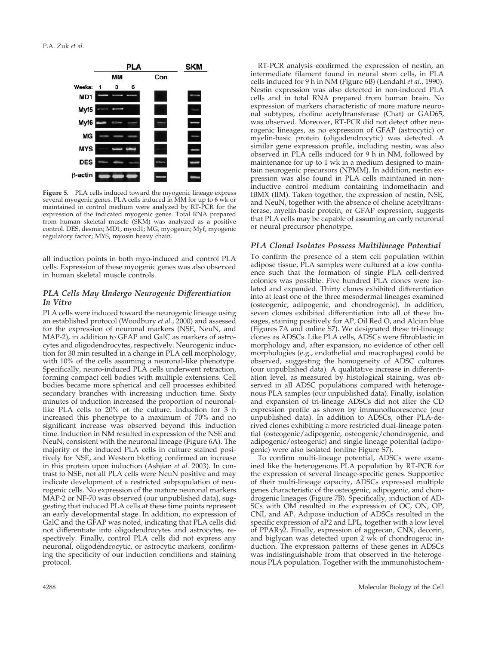

**Figure 5.** PLA cells induced toward the myogenic lineage express several myogenic genes. PLA cells induced in MM for up to 6 wk or maintained in control medium were analyzed by RT-PCR for the expression of the indicated myogenic genes. Total RNA prepared from human skeletal muscle (SKM) was analyzed as a positive control. DES, desmin; MD1, myod1; MG, myogenin; Myf, myogenic regulatory factor; MYS, myosin heavy chain.

all induction points in both myo-induced and control PLA cells. Expression of these myogenic genes was also observed in human skeletal muscle controls.

# *PLA Cells May Undergo Neurogenic Differentiation In Vitro*

PLA cells were induced toward the neurogenic lineage using an established protocol (Woodbury *et al.*, 2000) and assessed for the expression of neuronal markers (NSE, NeuN, and MAP-2), in addition to GFAP and GalC as markers of astrocytes and oligodendrocytes, respectively. Neurogenic induction for 30 min resulted in a change in PLA cell morphology, with 10% of the cells assuming a neuronal-like phenotype. Specifically, neuro-induced PLA cells underwent retraction, forming compact cell bodies with multiple extensions. Cell bodies became more spherical and cell processes exhibited secondary branches with increasing induction time. Sixty minutes of induction increased the proportion of neuronallike PLA cells to 20% of the culture. Induction for 3 h increased this phenotype to a maximum of 70% and no significant increase was observed beyond this induction time. Induction in NM resulted in expression of the NSE and NeuN, consistent with the neuronal lineage (Figure 6A). The majority of the induced PLA cells in culture stained positively for NSE, and Western blotting confirmed an increase in this protein upon induction (Ashjian *et al.* 2003). In contrast to NSE, not all PLA cells were NeuN positive and may indicate development of a restricted subpopulation of neurogenic cells. No expression of the mature neuronal markers MAP-2 or NF-70 was observed (our unpublished data), suggesting that induced PLA cells at these time points represent an early developmental stage. In addition, no expression of GalC and the GFAP was noted, indicating that PLA cells did not differentiate into oligodendrocytes and astrocytes, respectively. Finally, control PLA cells did not express any neuronal, oligodendrocytic, or astrocytic markers, confirming the specificity of our induction conditions and staining protocol.

RT-PCR analysis confirmed the expression of nestin, an intermediate filament found in neural stem cells, in PLA cells induced for 9 h in NM (Figure 6B) (Lendahl *et al.*, 1990). Nestin expression was also detected in non-induced PLA cells and in total RNA prepared from human brain. No expression of markers characteristic of more mature neuronal subtypes, choline acetyltransferase (Chat) or GAD65, was observed. Moreover, RT-PCR did not detect other neurogenic lineages, as no expression of GFAP (astrocytic) or myelin-basic protein (oligodendrocytic) was detected. A similar gene expression profile, including nestin, was also observed in PLA cells induced for 9 h in NM, followed by maintenance for up to 1 wk in a medium designed to maintain neurogenic precursors (NPMM). In addition, nestin expression was also found in PLA cells maintained in noninductive control medium containing indomethacin and IBMX (IIM). Taken together, the expression of nestin, NSE, and NeuN, together with the absence of choline acetyltransferase, myelin-basic protein, or GFAP expression, suggests that PLA cells may be capable of assuming an early neuronal or neural precursor phenotype.

#### *PLA Clonal Isolates Possess Multilineage Potential*

To confirm the presence of a stem cell population within adipose tissue, PLA samples were cultured at a low confluence such that the formation of single PLA cell-derived colonies was possible. Five hundred PLA clones were isolated and expanded. Thirty clones exhibited differentiation into at least one of the three mesodermal lineages examined (osteogenic, adipogenic, and chondrogenic). In addition, seven clones exhibited differentiation into all of these lineages, staining positively for AP, Oil Red O, and Alcian blue (Figures 7A and online S7). We designated these tri-lineage clones as ADSCs. Like PLA cells, ADSCs were fibroblastic in morphology and, after expansion, no evidence of other cell morphologies (e.g., endothelial and macrophages) could be observed, suggesting the homogeneity of ADSC cultures (our unpublished data). A qualitative increase in differentiation level, as measured by histological staining, was observed in all ADSC populations compared with heterogenous PLA samples (our unpublished data). Finally, isolation and expansion of tri-lineage ADSCs did not alter the CD expression profile as shown by immunofluorescence (our unpublished data). In addition to ADSCs, other PLA-derived clones exhibiting a more restricted dual-lineage potential (osteogenic/adipogenic, osteogenic/chondrogenic, and adipogenic/osteogenic) and single lineage potential (adipogenic) were also isolated (online Figure S7).

To confirm multi-lineage potential, ADSCs were examined like the heterogenous PLA population by RT-PCR for the expression of several lineage-specific genes. Supportive of their multi-lineage capacity, ADSCs expressed multiple genes characteristic of the osteogenic, adipogenic, and chondrogenic lineages (Figure 7B). Specifically, induction of AD-SCs with OM resulted in the expression of OC, ON, OP, CNI, and AP. Adipose induction of ADSCs resulted in the specific expression of aP2 and LPL, together with a low level of PPAR<sub>2</sub>. Finally, expression of aggrecan, CNX, decorin, and biglycan was detected upon 2 wk of chondrogenic induction. The expression patterns of these genes in ADSCs was indistinguishable from that observed in the heterogenous PLA population. Together with the immunohistochem-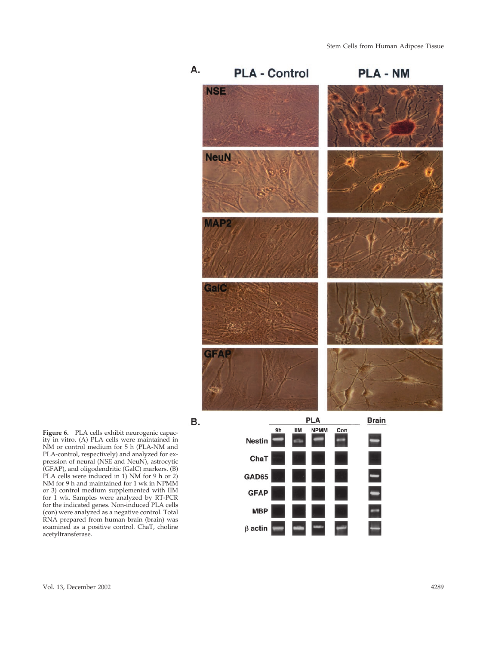

**Figure 6.** PLA cells exhibit neurogenic capacity in vitro. (A) PLA cells were maintained in NM or control medium for 5 h (PLA-NM and PLA-control, respectively) and analyzed for expression of neural (NSE and NeuN), astrocytic (GFAP), and oligodendritic (GalC) markers. (B) PLA cells were induced in 1) NM for 9 h or 2) NM for 9 h and maintained for 1 wk in NPMM or 3) control medium supplemented with IIM for 1 wk. Samples were analyzed by RT-PCR for the indicated genes. Non-induced PLA cells (con) were analyzed as a negative control. Total RNA prepared from human brain (brain) was examined as a positive control. ChaT, choline acetyltransferase.

**B.** 

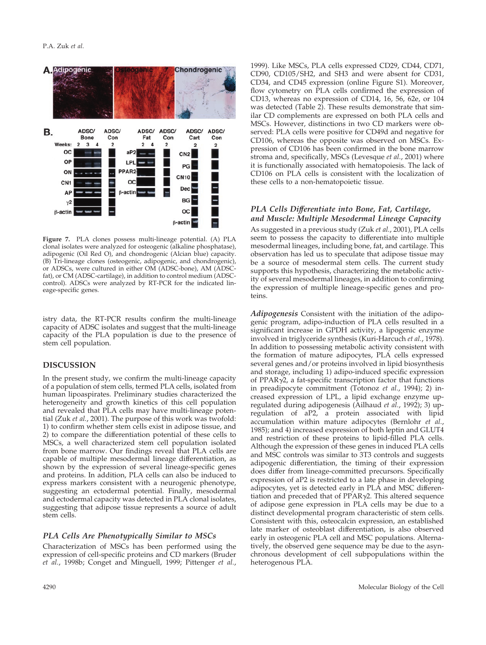

**Figure 7.** PLA clones possess multi-lineage potential. (A) PLA clonal isolates were analyzed for osteogenic (alkaline phosphatase), adipogenic (Oil Red O), and chondrogenic (Alcian blue) capacity. (B) Tri-lineage clones (osteogenic, adipogenic, and chondrogenic), or ADSCs, were cultured in either OM (ADSC-bone), AM (ADSCfat), or CM (ADSC-cartilage), in addition to control medium (ADSCcontrol). ADSCs were analyzed by RT-PCR for the indicated lineage-specific genes.

istry data, the RT-PCR results confirm the multi-lineage capacity of ADSC isolates and suggest that the multi-lineage capacity of the PLA population is due to the presence of stem cell population.

#### **DISCUSSION**

In the present study, we confirm the multi-lineage capacity of a population of stem cells, termed PLA cells, isolated from human lipoaspirates. Preliminary studies characterized the heterogeneity and growth kinetics of this cell population and revealed that PLA cells may have multi-lineage potential (Zuk *et al.*, 2001). The purpose of this work was twofold: 1) to confirm whether stem cells exist in adipose tissue, and 2) to compare the differentiation potential of these cells to MSCs, a well characterized stem cell population isolated from bone marrow. Our findings reveal that PLA cells are capable of multiple mesodermal lineage differentiation, as shown by the expression of several lineage-specific genes and proteins. In addition, PLA cells can also be induced to express markers consistent with a neurogenic phenotype, suggesting an ectodermal potential. Finally, mesodermal and ectodermal capacity was detected in PLA clonal isolates, suggesting that adipose tissue represents a source of adult stem cells.

#### *PLA Cells Are Phenotypically Similar to MSCs*

Characterization of MSCs has been performed using the expression of cell-specific proteins and CD markers (Bruder *et al.*, 1998b; Conget and Minguell, 1999; Pittenger *et al.*,

1999). Like MSCs, PLA cells expressed CD29, CD44, CD71, CD90, CD105/SH2, and SH3 and were absent for CD31, CD34, and CD45 expression (online Figure S1). Moreover, flow cytometry on PLA cells confirmed the expression of CD13, whereas no expression of CD14, 16, 56, 62e, or 104 was detected (Table 2). These results demonstrate that similar CD complements are expressed on both PLA cells and MSCs. However, distinctions in two CD markers were observed: PLA cells were positive for CD49d and negative for CD106, whereas the opposite was observed on MSCs. Expression of CD106 has been confirmed in the bone marrow stroma and, specifically, MSCs (Levesque *et al.*, 2001) where it is functionally associated with hematopoiesis. The lack of CD106 on PLA cells is consistent with the localization of these cells to a non-hematopoietic tissue.

# *PLA Cells Differentiate into Bone, Fat, Cartilage, and Muscle: Multiple Mesodermal Lineage Capacity*

As suggested in a previous study (Zuk *et al.*, 2001), PLA cells seem to possess the capacity to differentiate into multiple mesodermal lineages, including bone, fat, and cartilage. This observation has led us to speculate that adipose tissue may be a source of mesodermal stem cells. The current study supports this hypothesis, characterizing the metabolic activity of several mesodermal lineages, in addition to confirming the expression of multiple lineage-specific genes and proteins.

*Adipogenesis* Consistent with the initiation of the adipogenic program, adipo-induction of PLA cells resulted in a significant increase in GPDH activity, a lipogenic enzyme involved in triglyceride synthesis (Kuri-Harcuch *et al.*, 1978). In addition to possessing metabolic activity consistent with the formation of mature adipocytes, PLA cells expressed several genes and/or proteins involved in lipid biosynthesis and storage, including 1) adipo-induced specific expression of PPAR $\gamma$ 2, a fat-specific transcription factor that functions in preadipocyte commitment (Totonoz *et al.*, 1994); 2) increased expression of LPL, a lipid exchange enzyme upregulated during adipogenesis (Ailhaud *et al.*, 1992); 3) upregulation of aP2, a protein associated with lipid accumulation within mature adipocytes (Bernlohr *et al.*, 1985); and 4) increased expression of both leptin and GLUT4 and restriction of these proteins to lipid-filled PLA cells. Although the expression of these genes in induced PLA cells and MSC controls was similar to 3T3 controls and suggests adipogenic differentiation, the timing of their expression does differ from lineage-committed precursors. Specifically expression of aP2 is restricted to a late phase in developing adipocytes, yet is detected early in PLA and MSC differentiation and preceded that of  $PPAR<sub>2</sub>$ . This altered sequence of adipose gene expression in PLA cells may be due to a distinct developmental program characteristic of stem cells. Consistent with this, osteocalcin expression, an established late marker of osteoblast differentiation, is also observed early in osteogenic PLA cell and MSC populations. Alternatively, the observed gene sequence may be due to the asynchronous development of cell subpopulations within the heterogenous PLA.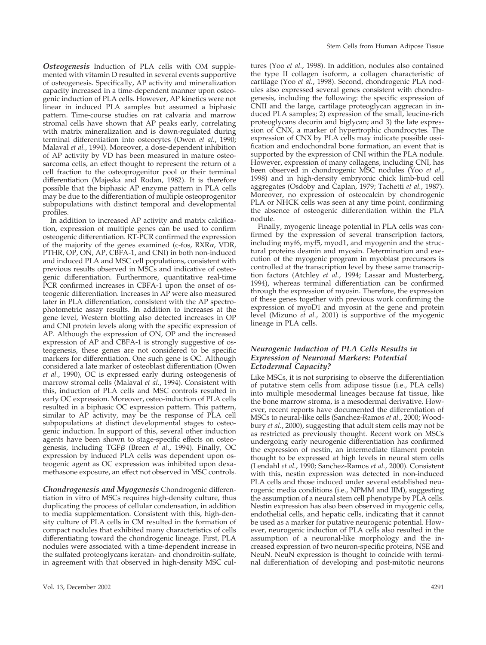*Osteogenesis* Induction of PLA cells with OM supplemented with vitamin D resulted in several events supportive of osteogenesis. Specifically, AP activity and mineralization capacity increased in a time-dependent manner upon osteogenic induction of PLA cells. However, AP kinetics were not linear in induced PLA samples but assumed a biphasic pattern. Time-course studies on rat calvaria and marrow stromal cells have shown that AP peaks early, correlating with matrix mineralization and is down-regulated during terminal differentiation into osteocytes (Owen *et al.*, 1990; Malaval *et al.*, 1994). Moreover, a dose-dependent inhibition of AP activity by VD has been measured in mature osteosarcoma cells, an effect thought to represent the return of a cell fraction to the osteoprogenitor pool or their terminal differentiation (Majeska and Rodan, 1982). It is therefore possible that the biphasic AP enzyme pattern in PLA cells may be due to the differentiation of multiple osteoprogenitor subpopulations with distinct temporal and developmental profiles.

In addition to increased AP activity and matrix calcification, expression of multiple genes can be used to confirm osteogenic differentiation. RT-PCR confirmed the expression of the majority of the genes examined (c-fos,  $RXR\alpha$ , VDR, PTHR, OP, ON, AP, CBFA-1, and CNI) in both non-induced and induced PLA and MSC cell populations, consistent with previous results observed in MSCs and indicative of osteogenic differentiation. Furthermore, quantitative real-time PCR confirmed increases in CBFA-1 upon the onset of osteogenic differentiation. Increases in AP were also measured later in PLA differentiation, consistent with the AP spectrophotometric assay results. In addition to increases at the gene level, Western blotting also detected increases in OP and CNI protein levels along with the specific expression of AP. Although the expression of ON, OP and the increased expression of AP and CBFA-1 is strongly suggestive of osteogenesis, these genes are not considered to be specific markers for differentiation. One such gene is OC. Although considered a late marker of osteoblast differentiation (Owen *et al.*, 1990), OC is expressed early during osteogenesis of marrow stromal cells (Malaval *et al.*, 1994). Consistent with this, induction of PLA cells and MSC controls resulted in early OC expression. Moreover, osteo-induction of PLA cells resulted in a biphasic OC expression pattern. This pattern, similar to AP activity, may be the response of PLA cell subpopulations at distinct developmental stages to osteogenic induction. In support of this, several other induction agents have been shown to stage-specific effects on osteogenesis, including TGF<sub>B</sub> (Breen *et al.*, 1994). Finally, OC expression by induced PLA cells was dependent upon osteogenic agent as OC expression was inhibited upon dexamethasone exposure, an effect not observed in MSC controls.

*Chondrogenesis and Myogenesis* Chondrogenic differentiation in vitro of MSCs requires high-density culture, thus duplicating the process of cellular condensation, in addition to media supplementation. Consistent with this, high-density culture of PLA cells in CM resulted in the formation of compact nodules that exhibited many characteristics of cells differentiating toward the chondrogenic lineage. First, PLA nodules were associated with a time-dependent increase in the sulfated proteoglycans keratan- and chondroitin-sulfate, in agreement with that observed in high-density MSC cul-

tures (Yoo *et al.*, 1998). In addition, nodules also contained the type II collagen isoform, a collagen characteristic of cartilage (Yoo *et al.*, 1998). Second, chondrogenic PLA nodules also expressed several genes consistent with chondrogenesis, including the following: the specific expression of CNII and the large, cartilage proteoglycan aggrecan in induced PLA samples; 2) expression of the small, leucine-rich proteoglycans decorin and biglycan; and 3) the late expression of CNX, a marker of hypertrophic chondrocytes. The expression of CNX by PLA cells may indicate possible ossification and endochondral bone formation, an event that is supported by the expression of CNI within the PLA nodule. However, expression of many collagens, including CNI, has been observed in chondrogenic MSC nodules (Yoo *et al.*, 1998) and in high-density embryonic chick limb-bud cell aggregates (Osdoby and Caplan, 1979; Tachetti *et al.*, 1987). Moreover, no expression of osteocalcin by chondrogenic PLA or NHCK cells was seen at any time point, confirming the absence of osteogenic differentiation within the PLA nodule.

Finally, myogenic lineage potential in PLA cells was confirmed by the expression of several transcription factors, including myf6, myf5, myod1, and myogenin and the structural proteins desmin and myosin. Determination and execution of the myogenic program in myoblast precursors is controlled at the transcription level by these same transcription factors (Atchley *et al.*, 1994; Lassar and Musterberg, 1994), whereas terminal differentiation can be confirmed through the expression of myosin. Therefore, the expression of these genes together with previous work confirming the expression of myoD1 and myosin at the gene and protein level (Mizuno *et al.*, 2001) is supportive of the myogenic lineage in PLA cells.

#### *Neurogenic Induction of PLA Cells Results in Expression of Neuronal Markers: Potential Ectodermal Capacity?*

Like MSCs, it is not surprising to observe the differentiation of putative stem cells from adipose tissue (i.e., PLA cells) into multiple mesodermal lineages because fat tissue, like the bone marrow stroma, is a mesodermal derivative. However, recent reports have documented the differentiation of MSCs to neural-like cells (Sanchez-Ramos *et al.*, 2000; Woodbury *et al.*, 2000), suggesting that adult stem cells may not be as restricted as previously thought. Recent work on MSCs undergoing early neurogenic differentiation has confirmed the expression of nestin, an intermediate filament protein thought to be expressed at high levels in neural stem cells (Lendahl *et al.*, 1990; Sanchez-Ramos *et al.*, 2000). Consistent with this, nestin expression was detected in non-induced PLA cells and those induced under several established neurogenic media conditions (i.e., NPMM and IIM), suggesting the assumption of a neural stem cell phenotype by PLA cells. Nestin expression has also been observed in myogenic cells, endothelial cells, and hepatic cells, indicating that it cannot be used as a marker for putative neurogenic potential. However, neurogenic induction of PLA cells also resulted in the assumption of a neuronal-like morphology and the increased expression of two neuron-specific proteins, NSE and NeuN. NeuN expression is thought to coincide with terminal differentiation of developing and post-mitotic neurons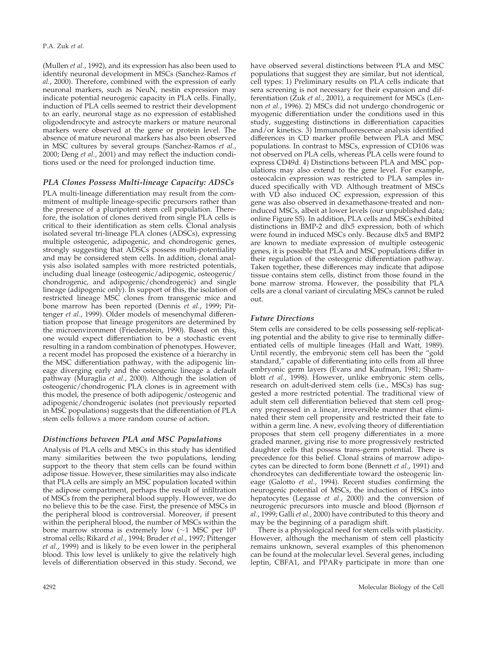(Mullen *et al.*, 1992), and its expression has also been used to identify neuronal development in MSCs (Sanchez-Ramos *et al.*, 2000). Therefore, combined with the expression of early neuronal markers, such as NeuN, nestin expression may indicate potential neurogenic capacity in PLA cells. Finally, induction of PLA cells seemed to restrict their development to an early, neuronal stage as no expression of established oligodendrocyte and astrocyte markers or mature neuronal markers were observed at the gene or protein level. The absence of mature neuronal markers has also been observed in MSC cultures by several groups (Sanchez-Ramos *et al.*, 2000; Deng *et al.*, 2001) and may reflect the induction conditions used or the need for prolonged induction time.

# *PLA Clones Possess Multi-lineage Capacity: ADSCs*

PLA multi-lineage differentiation may result from the commitment of multiple lineage-specific precursors rather than the presence of a pluripotent stem cell population. Therefore, the isolation of clones derived from single PLA cells is critical to their identification as stem cells. Clonal analysis isolated several tri-lineage PLA clones (ADSCs), expressing multiple osteogenic, adipogenic, and chondrogenic genes, strongly suggesting that ADSCs possess multi-potentiality and may be considered stem cells. In addition, clonal analysis also isolated samples with more restricted potentials, including dual lineage (osteogenic/adipogenic, osteogenic/ chondrogenic, and adipogenic/chondrogenic) and single lineage (adipogenic only). In support of this, the isolation of restricted lineage MSC clones from transgenic mice and bone marrow has been reported (Dennis *et al.*, 1999; Pittenger *et al.*, 1999). Older models of mesenchymal differentiation propose that lineage progenitors are determined by the microenvironment (Friedenstein, 1990). Based on this, one would expect differentiation to be a stochastic event resulting in a random combination of phenotypes. However, a recent model has proposed the existence of a hierarchy in the MSC differentiation pathway, with the adipogenic lineage diverging early and the osteogenic lineage a default pathway (Muraglia *et al.*, 2000). Although the isolation of osteogenic/chondrogenic PLA clones is in agreement with this model, the presence of both adipogenic/osteogenic and adipogenic/chondrogenic isolates (not previously reported in MSC populations) suggests that the differentiation of PLA stem cells follows a more random course of action.

# *Distinctions between PLA and MSC Populations*

Analysis of PLA cells and MSCs in this study has identified many similarities between the two populations, lending support to the theory that stem cells can be found within adipose tissue. However, these similarities may also indicate that PLA cells are simply an MSC population located within the adipose compartment, perhaps the result of infiltration of MSCs from the peripheral blood supply. However, we do no believe this to be the case. First, the presence of MSCs in the peripheral blood is controversial. Moreover, if present within the peripheral blood, the number of MSCs within the bone marrow stroma is extremely low  $({\sim}1$  MSC per  $10^5$ stromal cells; Rikard *et al.*, 1994; Bruder *et al.*, 1997; Pittenger *et al.*, 1999) and is likely to be even lower in the peripheral blood. This low level is unlikely to give the relatively high levels of differentiation observed in this study. Second, we

have observed several distinctions between PLA and MSC populations that suggest they are similar, but not identical, cell types: 1) Preliminary results on PLA cells indicate that sera screening is not necessary for their expansion and differentiation (Zuk *et al.*, 2001), a requirement for MSCs (Lennon *et al.*, 1996). 2) MSCs did not undergo chondrogenic or myogenic differentiation under the conditions used in this study, suggesting distinctions in differentiation capacities and/or kinetics. 3) Immunofluorescence analysis identified differences in CD marker profile between PLA and MSC populations. In contrast to MSCs, expression of CD106 was not observed on PLA cells, whereas PLA cells were found to express CD49d. 4) Distinctions between PLA and MSC populations may also extend to the gene level. For example, osteocalcin expression was restricted to PLA samples induced specifically with VD. Although treatment of MSCs with VD also induced OC expression, expression of this gene was also observed in dexamethasone-treated and noninduced MSCs, albeit at lower levels (our unpublished data; online Figure S5). In addition, PLA cells and MSCs exhibited distinctions in BMP-2 and dlx5 expression, both of which were found in induced MSCs only. Because dlx5 and BMP2 are known to mediate expression of multiple osteogenic genes, it is possible that PLA and MSC populations differ in their regulation of the osteogenic differentiation pathway. Taken together, these differences may indicate that adipose tissue contains stem cells, distinct from those found in the bone marrow stroma. However, the possibility that PLA cells are a clonal variant of circulating MSCs cannot be ruled out.

# *Future Directions*

Stem cells are considered to be cells possessing self-replicating potential and the ability to give rise to terminally differentiated cells of multiple lineages (Hall and Watt, 1989). Until recently, the embryonic stem cell has been the "gold standard," capable of differentiating into cells from all three embryonic germ layers (Evans and Kaufman, 1981; Shamblott *et al.*, 1998). However, unlike embryonic stem cells, research on adult-derived stem cells (i.e., MSCs) has suggested a more restricted potential. The traditional view of adult stem cell differentiation believed that stem cell progeny progressed in a linear, irreversible manner that eliminated their stem cell propensity and restricted their fate to within a germ line. A new, evolving theory of differentiation proposes that stem cell progeny differentiates in a more graded manner, giving rise to more progressively restricted daughter cells that possess trans-germ potential. There is precedence for this belief. Clonal strains of marrow adipocytes can be directed to form bone (Bennett *et al.*, 1991) and chondrocytes can dedifferentiate toward the osteogenic lineage (Galotto *et al.*, 1994). Recent studies confirming the neurogenic potential of MSCs, the induction of HSCs into hepatocytes (Legasse *et al.*, 2000) and the conversion of neurogenic precursors into muscle and blood (Bjornson *et al.*, 1999; Galli *et al.*, 2000) have contributed to this theory and may be the beginning of a paradigm shift.

There is a physiological need for stem cells with plasticity. However, although the mechanism of stem cell plasticity remains unknown, several examples of this phenomenon can be found at the molecular level. Several genes, including leptin, CBFA1, and PPAR $\gamma$  participate in more than one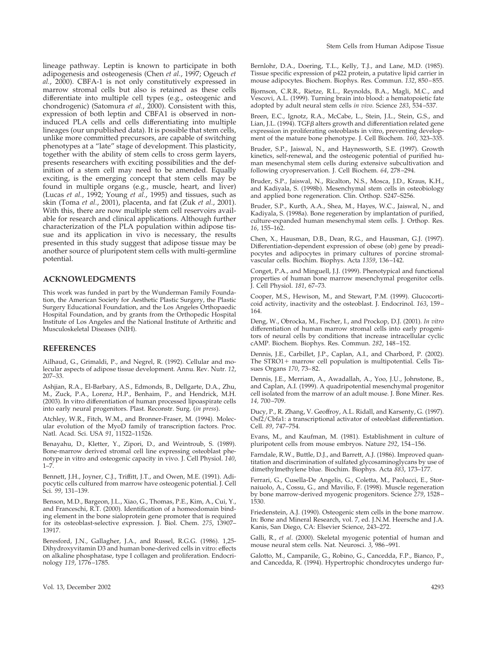lineage pathway. Leptin is known to participate in both adipogenesis and osteogenesis (Chen *et al.*, 1997; Ogeuch *et al.*, 2000). CBFA-1 is not only constitutively expressed in marrow stromal cells but also is retained as these cells differentiate into multiple cell types (e.g., osteogenic and chondrogenic) (Satomura *et al.*, 2000). Consistent with this, expression of both leptin and CBFA1 is observed in noninduced PLA cells and cells differentiating into multiple lineages (our unpublished data). It is possible that stem cells, unlike more committed precursors, are capable of switching phenotypes at a "late" stage of development. This plasticity, together with the ability of stem cells to cross germ layers, presents researchers with exciting possibilities and the definition of a stem cell may need to be amended. Equally exciting, is the emerging concept that stem cells may be found in multiple organs (e.g., muscle, heart, and liver) (Lucas *et al.*, 1992; Young *et al.*, 1995) and tissues, such as skin (Toma *et al.*, 2001), placenta, and fat (Zuk *et al.*, 2001). With this, there are now multiple stem cell reservoirs available for research and clinical applications. Although further characterization of the PLA population within adipose tissue and its application in vivo is necessary, the results presented in this study suggest that adipose tissue may be another source of pluripotent stem cells with multi-germline potential.

# **ACKNOWLEDGMENTS**

This work was funded in part by the Wunderman Family Foundation, the American Society for Aesthetic Plastic Surgery, the Plastic Surgery Educational Foundation, and the Los Angeles Orthopaedic Hospital Foundation, and by grants from the Orthopedic Hospital Institute of Los Angeles and the National Institute of Arthritic and Musculoskeletal Diseases (NIH).

# **REFERENCES**

Ailhaud, G., Grimaldi, P., and Negrel, R. (1992). Cellular and molecular aspects of adipose tissue development. Annu. Rev. Nutr. *12*, 207–33.

Ashjian, R.A., El-Barbary, A.S., Edmonds, B., Dellgarte, D.A., Zhu, M., Zuck, P.A., Lorenz, H.P., Benhaim, P., and Hendrick, M.H. (2003). In vitro differentiation of human processed lipoaspirate cells into early neural progenitors. Plast. Reconstr. Surg. (*in press*).

Atchley, W.R., Fitch, W.M., and Bronner-Fraser, M. (1994). Molecular evolution of the MyoD family of transcription factors. Proc. Natl. Acad. Sci. USA *91*, 11522–11526.

Benayahu, D., Kletter, Y., Zipori, D., and Weintroub, S. (1989). Bone-marrow derived stromal cell line expressing osteoblast phenotype in vitro and osteogenic capacity in vivo. J. Cell Physiol. *140*, 1–7.

Bennett, J.H., Joyner, C.J., Triffitt, J.T., and Owen, M.E. (1991). Adipocytic cells cultured from marrow have osteogenic potential. J. Cell Sci. *99*, 131–139.

Benson, M.D., Bargeon, J.L., Xiao, G., Thomas, P.E., Kim, A., Cui, Y., and Franceschi, R.T. (2000). Identification of a homeodomain binding element in the bone sialoprotein gene promoter that is required for its osteoblast-selective expression. J. Biol. Chem. *275*, 13907– 13917.

Beresford, J.N., Gallagher, J.A., and Russel, R.G.G. (1986). 1,25- Dihydroxyvitamin D3 and human bone-derived cells in vitro: effects on alkaline phosphatase, type I collagen and proliferation. Endocrinology *119*, 1776–1785.

Bernlohr, D.A., Doering, T.L., Kelly, T.J., and Lane, M.D. (1985). Tissue specific expression of p422 protein, a putative lipid carrier in mouse adipocytes. Biochem. Biophys. Res. Commun. *132*, 850–855.

Bjornson, C.R.R., Rietze, R.L., Reynolds, B.A., Magli, M.C., and Vescovi, A.L. (1999). Turning brain into blood: a hematopoietic fate adopted by adult neural stem cells *in vivo*. Science *283*, 534–537.

Breen, E.C., Ignotz, R.A., McCabe, L., Stein, J.L., Stein, G.S., and Lian, J.L. (1994). TGF $\beta$  alters growth and differentiation related gene expression in proliferating osteoblasts in vitro, preventing development of the mature bone phenotype. J. Cell Biochem. *160*, 323–335.

Bruder, S.P., Jaiswal, N., and Haynesworth, S.E. (1997). Growth kinetics, self-renewal, and the osteogenic potential of purified human mesenchymal stem cells during extensive subcultivation and following cryopreservation. J. Cell Biochem. *64*, 278–294.

Bruder, S.P., Jaiswal, N., Ricalton, N.S., Mosca, J.D., Kraus, K.H., and Kadiyala, S. (1998b). Mesenchymal stem cells in osteobiology and applied bone regeneration. Clin. Orthop. S247–S256.

Bruder, S.P., Kurth, A.A., Shea, M., Hayes, W.C., Jaiswal, N., and Kadiyala, S. (1998a). Bone regeneration by implantation of purified, culture-expanded human mesenchymal stem cells. J. Orthop. Res. *16*, 155–162.

Chen, X., Hausman, D.B., Dean, R.G., and Hausman, G.J. (1997). Differentiation-dependent expression of obese (ob) gene by preadipocytes and adipocytes in primary cultures of porcine stromalvascular cells. Biochim. Biophys. Acta *1359*, 136–142.

Conget, P.A., and Minguell, J.J. (1999). Phenotypical and functional properties of human bone marrow mesenchymal progenitor cells. J. Cell Physiol. *181*, 67–73.

Cooper, M.S., Hewison, M., and Stewart, P.M. (1999). Glucocorticoid activity, inactivity and the osteoblast. J. Endocrinol. *163*, 159– 164.

Deng, W., Obrocka, M., Fischer, I., and Prockop, D.J. (2001). *In vitro* differentiation of human marrow stromal cells into early progenitors of neural cells by conditions that increase intracellular cyclic cAMP. Biochem. Biophys. Res. Commun. *282*, 148–152.

Dennis, J.E., Carbillet, J.P., Caplan, A.I., and Charbord, P. (2002). The STRO1+ marrow cell population is multipotential. Cells Tissues Organs *170*, 73–82.

Dennis, J.E., Merriam, A., Awadallah, A., Yoo, J.U., Johnstone, B., and Caplan, A.I. (1999). A quadripotential mesenchymal progenitor cell isolated from the marrow of an adult mouse. J. Bone Miner. Res. *14,* 700–709.

Ducy, P., R. Zhang, V. Geoffroy, A.L. Ridall, and Karsenty, G. (1997). Osf2/Cbfa1: a transcriptional activator of osteoblast differentiation. Cell. *89*, 747–754.

Evans, M., and Kaufman, M. (1981). Establishment in culture of pluripotent cells from mouse embryos. Nature *292*, 154–156.

Farndale, R.W., Buttle, D.J., and Barrett, A.J. (1986). Improved quantitation and discrimination of sulfated glycosaminoglycans by use of dimethylmethylene blue. Biochim. Biophys. Acta *883*, 173–177.

Ferrari, G., Cusella-De Angelis, G., Coletta, M., Paolucci, E., Stornaiuolo, A., Cossu, G., and Mavilio, F. (1998). Muscle regeneration by bone marrow-derived myogenic progenitors. Science *279*, 1528– 1530.

Friedenstein, A.J. (1990). Osteogenic stem cells in the bone marrow. In: Bone and Mineral Research, vol. 7, ed. J.N.M. Heersche and J.A. Kanis, San Diego, CA: Elsevier Science, 243–272.

Galli, R., *et al*. (2000). Skeletal myogenic potential of human and mouse neural stem cells. Nat. Neurosci. *3*, 986–991.

Galotto, M., Campanile, G., Robino, G., Cancedda, F.P., Bianco, P., and Cancedda, R. (1994). Hypertrophic chondrocytes undergo fur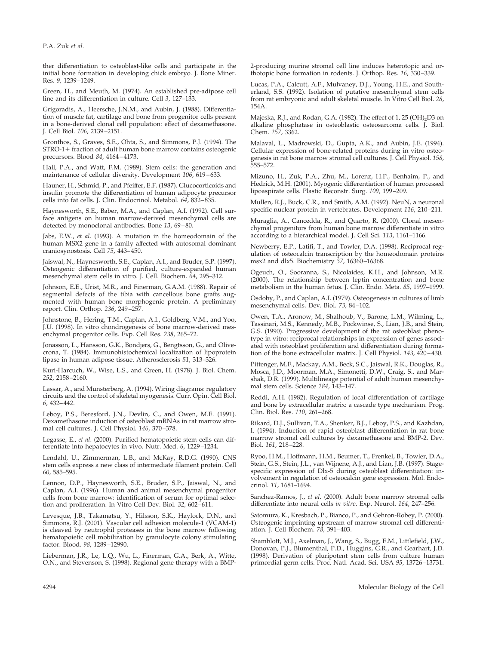ther differentiation to osteoblast-like cells and participate in the initial bone formation in developing chick embryo. J. Bone Miner. Res. *9,* 1239–1249.

Green, H., and Meuth, M. (1974). An established pre-adipose cell line and its differentiation in culture. Cell *3*, 127–133.

Grigoradis, A., Heersche, J.N.M., and Aubin, J. (1988). Differentiation of muscle fat, cartilage and bone from progenitor cells present in a bone-derived clonal cell population: effect of dexamethasone. J. Cell Biol. *106*, 2139–2151.

Gronthos, S., Graves, S.E., Ohta, S., and Simmons, P.J. (1994). The STRO-1- fraction of adult human bone marrow contains osteogenic precursors. Blood *84*, 4164–4173.

Hall, P.A., and Watt, F.M. (1989). Stem cells: the generation and maintenance of cellular diversity. Development *106*, 619–633.

Hauner, H., Schmid, P., and Pfeiffer, E.F. (1987). Glucocorticoids and insulin promote the differentiation of human adipocyte precursor cells into fat cells. J. Clin. Endocrinol. Metabol. *64*, 832–835.

Haynesworth, S.E., Baber, M.A., and Caplan, A.I. (1992). Cell surface antigens on human marrow-derived mesenchymal cells are detected by monoclonal antibodies. Bone *13*, 69–80.

Jabs, E.W., *et al*. (1993). A mutation in the homeodomain of the human MSX2 gene in a family affected with autosomal dominant craniosynostosis. Cell *75*, 443–450.

Jaiswal, N., Haynesworth, S.E., Caplan, A.I., and Bruder, S.P. (1997). Osteogenic differentiation of purified, culture-expanded human mesenchymal stem cells in vitro. J. Cell. Biochem. *64*, 295–312.

Johnson, E.E., Urist, M.R., and Finerman, G.A.M. (1988). Repair of segmental defects of the tibia with cancellous bone grafts augmented with human bone morphogenic protein. A preliminary report. Clin. Orthop. *236*, 249–257.

Johnstone, B., Hering, T.M., Caplan, A.I., Goldberg, V.M., and Yoo, J.U. (1998). In vitro chondrogenesis of bone marrow-derived mesenchymal progenitor cells. Exp. Cell Res. *238*, 265–72.

Jonasson, L., Hansson, G.K., Bondjers, G., Bengtsson, G., and Olivecrona, T. (1984). Immunohistochemical localization of lipoprotein lipase in human adipose tissue. Atherosclerosis *51*, 313–326.

Kuri-Harcuch, W., Wise, L.S., and Green, H. (1978). J. Biol. Chem. *252*, 2158–2160.

Lassar, A., and Munsterberg, A. (1994). Wiring diagrams: regulatory circuits and the control of skeletal myogenesis. Curr. Opin. Cell Biol. *6*, 432–442.

Leboy, P.S., Beresford, J.N., Devlin, C., and Owen, M.E. (1991). Dexamethasone induction of osteoblast mRNAs in rat marrow stromal cell cultures. J. Cell Physiol. *146*, 370–378.

Legasse, E., *et al*. (2000). Purified hematopoietic stem cells can differentiate into hepatocytes in vivo. Nutr. Med. *6*, 1229–1234.

Lendahl, U., Zimmerman, L.B., and McKay, R.D.G. (1990). CNS stem cells express a new class of intermediate filament protein. Cell *60*, 585–595.

Lennon, D.P., Haynesworth, S.E., Bruder, S.P., Jaiswal, N., and Caplan, A.I. (1996). Human and animal mesenchymal progenitor cells from bone marrow: identification of serum for optimal selection and proliferation. In Vitro Cell Dev. Biol. *32*, 602–611.

Levesque, J.B., Takamatsu, Y., Hilsson, S.K., Haylock, D.N., and Simmons, R.J. (2001). Vascular cell adhesion molecule-1 (VCAM-1) is cleaved by neutrophil proteases in the bone marrow following hematopoietic cell mobilization by granulocyte colony stimulating factor. Blood. *98*, 1289–12990.

Lieberman, J.R., Le, L.Q., Wu, L., Finerman, G.A., Berk, A., Witte, O.N., and Stevenson, S. (1998). Regional gene therapy with a BMP- 2-producing murine stromal cell line induces heterotopic and orthotopic bone formation in rodents. J. Orthop. Res. *16*, 330–339.

Lucas, P.A., Calcutt, A.F., Mulvaney, D.J., Young, H.E., and Southerland, S.S. (1992). Isolation of putative mesenchymal stem cells from rat embryonic and adult skeletal muscle. In Vitro Cell Biol. *28*, 154A.

Majeska, R.J., and Rodan, G.A. (1982). The effect of  $1, 25$  (OH)<sub>2</sub>D3 on alkaline phosphatase in osteoblastic osteosarcoma cells. J. Biol. Chem. *257*, 3362.

Malaval, L., Madrowski, D., Gupta, A.K., and Aubin, J.E. (1994). Cellular expression of bone-related proteins during in vitro osteogenesis in rat bone marrow stromal cell cultures. J. Cell Physiol. *158*, 555–572.

Mizuno, H., Zuk, P.A., Zhu, M., Lorenz, H.P., Benhaim, P., and Hedrick, M.H. (2001). Myogenic differentiation of human processed lipoaspirate cells. Plastic Reconstr. Surg. *109*, 199–209.

Mullen, R.J., Buck, C.R., and Smith, A.M. (1992). NeuN, a neuronal specific nuclear protein in vertebrates. Development *116*, 210–211.

Muraglia, A., Cancedda, R., and Quarto, R. (2000). Clonal mesenchymal progenitors from human bone marrow differentiate in vitro according to a hierarchical model. J. Cell Sci. *113*, 1161–1166.

Newberry, E.P., Latifi, T., and Towler, D.A. (1998). Reciprocal regulation of osteocalcin transcription by the homeodomain proteins msx2 and dlx5. Biochemistry *37*, 16360–16368.

Ogeuch, O., Sooranna, S., Nicolaides, K.H., and Johnson, M.R. (2000). The relationship between leptin concentration and bone metabolism in the human fetus. J. Clin. Endo. Meta. *85*, 1997–1999.

Osdoby, P., and Caplan, A.I. (1979). Osteogenesis in cultures of limb mesenchymal cells. Dev. Biol. *73*, 84–102.

Owen, T.A., Aronow, M., Shalhoub, V., Barone, L.M., Wilming, L., Tassinari, M.S., Kennedy, M.B., Pockwinse, S., Lian, J.B., and Stein, G.S. (1990). Progressive development of the rat osteoblast phenotype in vitro: reciprocal relationships in expression of genes associated with osteoblast proliferation and differentiation during formation of the bone extracellular matrix. J. Cell Physiol. *143*, 420–430.

Pittenger, M.F., Mackay, A.M., Beck, S.C., Jaiswal, R.K., Douglas, R., Mosca, J.D., Moorman, M.A., Simonetti, D.W., Craig, S., and Marshak, D.R. (1999). Multilineage potential of adult human mesenchymal stem cells. Science *284*, 143–147.

Reddi, A.H. (1982). Regulation of local differentiation of cartilage and bone by extracellular matrix: a cascade type mechanism. Prog. Clin. Biol. Res. *110*, 261–268.

Rikard, D.J., Sullivan, T.A., Shenker, B.J., Leboy, P.S., and Kazhdan, I. (1994). Induction of rapid osteoblast differentiation in rat bone marrow stromal cell cultures by dexamethasone and BMP-2. Dev. Biol. *161*, 218–228.

Ryoo, H.M., Hoffmann, H.M., Beumer, T., Frenkel, B., Towler, D.A., Stein, G.S., Stein, J.L., van Wijnene, A.J., and Lian, J.B. (1997). Stagespecific expression of Dlx-5 during osteoblast differentiation: involvement in regulation of osteocalcin gene expression. Mol. Endocrinol. *11*, 1681–1694.

Sanchez-Ramos, J., *et al*. (2000). Adult bone marrow stromal cells differentiate into neural cells *in vitro*. Exp. Neurol. *164*, 247–256.

Satomura, K., Kresbach, P., Bianco, P., and Gehron-Robey, P. (2000). Osteogenic imprinting upstream of marrow stromal cell differentiation. J. Cell Biochem. *78*, 391–403.

Shamblott, M.J., Axelman, J., Wang, S., Bugg, E.M., Littlefield, J.W., Donovan, P.J., Blumenthal, P.D., Huggins, G.R., and Gearhart, J.D. (1998). Derivation of pluripotent stem cells from culture human primordial germ cells. Proc. Natl. Acad. Sci. USA *95*, 13726–13731.